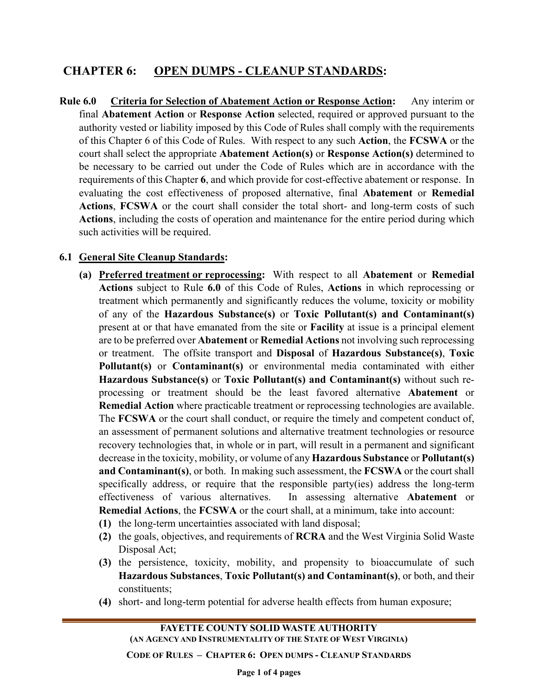## **CHAPTER 6: OPEN DUMPS - CLEANUP STANDARDS:**

**Rule 6.0 Criteria for Selection of Abatement Action or Response Action:** Any interim or final **Abatement Action** or **Response Action** selected, required or approved pursuant to the authority vested or liability imposed by this Code of Rules shall comply with the requirements of this Chapter 6 of this Code of Rules. With respect to any such **Action**, the **FCSWA** or the court shall select the appropriate **Abatement Action(s)** or **Response Action(s)** determined to be necessary to be carried out under the Code of Rules which are in accordance with the requirements of this Chapter **6**, and which provide for cost-effective abatement or response. In evaluating the cost effectiveness of proposed alternative, final **Abatement** or **Remedial Actions**, **FCSWA** or the court shall consider the total short- and long-term costs of such **Actions**, including the costs of operation and maintenance for the entire period during which such activities will be required.

## **6.1 General Site Cleanup Standards:**

- **(a) Preferred treatment or reprocessing:** With respect to all **Abatement** or **Remedial Actions** subject to Rule **6.0** of this Code of Rules, **Actions** in which reprocessing or treatment which permanently and significantly reduces the volume, toxicity or mobility of any of the **Hazardous Substance(s)** or **Toxic Pollutant(s) and Contaminant(s)** present at or that have emanated from the site or **Facility** at issue is a principal element are to be preferred over **Abatement** or **Remedial Actions** not involving such reprocessing or treatment. The offsite transport and **Disposal** of **Hazardous Substance(s)**, **Toxic Pollutant(s)** or **Contaminant(s)** or environmental media contaminated with either **Hazardous Substance(s)** or **Toxic Pollutant(s) and Contaminant(s)** without such reprocessing or treatment should be the least favored alternative **Abatement** or **Remedial Action** where practicable treatment or reprocessing technologies are available. The **FCSWA** or the court shall conduct, or require the timely and competent conduct of, an assessment of permanent solutions and alternative treatment technologies or resource recovery technologies that, in whole or in part, will result in a permanent and significant decrease in the toxicity, mobility, or volume of any **Hazardous Substance** or **Pollutant(s) and Contaminant(s)**, or both. In making such assessment, the **FCSWA** or the court shall specifically address, or require that the responsible party(ies) address the long-term effectiveness of various alternatives. In assessing alternative **Abatement** or **Remedial Actions**, the **FCSWA** or the court shall, at a minimum, take into account:
	- **(1)** the long-term uncertainties associated with land disposal;
	- **(2)** the goals, objectives, and requirements of **RCRA** and the West Virginia Solid Waste Disposal Act;
	- **(3)** the persistence, toxicity, mobility, and propensity to bioaccumulate of such **Hazardous Substances**, **Toxic Pollutant(s) and Contaminant(s)**, or both, and their constituents;
	- **(4)** short- and long-term potential for adverse health effects from human exposure;

**CODE OF RULES – CHAPTER 6: OPEN DUMPS - CLEANUP STANDARDS**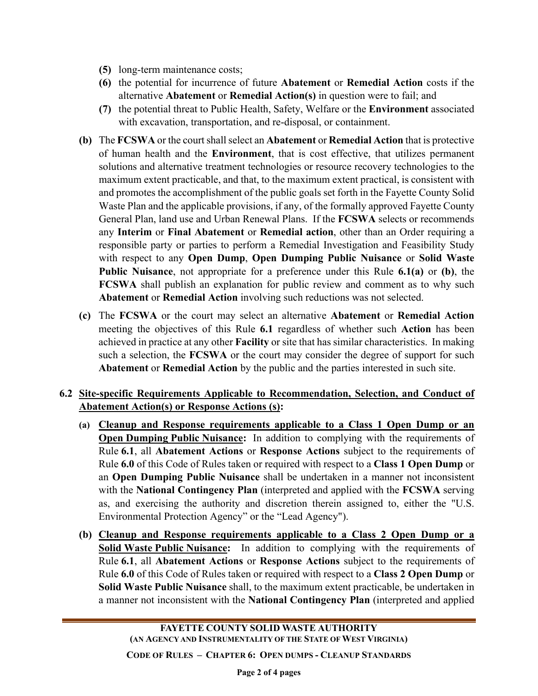- **(5)** long-term maintenance costs;
- **(6)** the potential for incurrence of future **Abatement** or **Remedial Action** costs if the alternative **Abatement** or **Remedial Action(s)** in question were to fail; and
- **(7)** the potential threat to Public Health, Safety, Welfare or the **Environment** associated with excavation, transportation, and re-disposal, or containment.
- **(b)** The **FCSWA** or the court shall select an **Abatement** or **Remedial Action** that is protective of human health and the **Environment**, that is cost effective, that utilizes permanent solutions and alternative treatment technologies or resource recovery technologies to the maximum extent practicable, and that, to the maximum extent practical, is consistent with and promotes the accomplishment of the public goals set forth in the Fayette County Solid Waste Plan and the applicable provisions, if any, of the formally approved Fayette County General Plan, land use and Urban Renewal Plans. If the **FCSWA** selects or recommends any **Interim** or **Final Abatement** or **Remedial action**, other than an Order requiring a responsible party or parties to perform a Remedial Investigation and Feasibility Study with respect to any **Open Dump**, **Open Dumping Public Nuisance** or **Solid Waste Public Nuisance**, not appropriate for a preference under this Rule **6.1(a)** or **(b)**, the **FCSWA** shall publish an explanation for public review and comment as to why such **Abatement** or **Remedial Action** involving such reductions was not selected.
- **(c)** The **FCSWA** or the court may select an alternative **Abatement** or **Remedial Action** meeting the objectives of this Rule **6.1** regardless of whether such **Action** has been achieved in practice at any other **Facility** or site that has similar characteristics. In making such a selection, the **FCSWA** or the court may consider the degree of support for such **Abatement** or **Remedial Action** by the public and the parties interested in such site.

## **6.2 Site-specific Requirements Applicable to Recommendation, Selection, and Conduct of Abatement Action(s) or Response Actions (s):**

- **(a) Cleanup and Response requirements applicable to a Class 1 Open Dump or an Open Dumping Public Nuisance:** In addition to complying with the requirements of Rule **6.1**, all **Abatement Actions** or **Response Actions** subject to the requirements of Rule **6.0** of this Code of Rules taken or required with respect to a **Class 1 Open Dump** or an **Open Dumping Public Nuisance** shall be undertaken in a manner not inconsistent with the **National Contingency Plan** (interpreted and applied with the **FCSWA** serving as, and exercising the authority and discretion therein assigned to, either the "U.S. Environmental Protection Agency" or the "Lead Agency").
- **(b) Cleanup and Response requirements applicable to a Class 2 Open Dump or a Solid Waste Public Nuisance:** In addition to complying with the requirements of Rule **6.1**, all **Abatement Actions** or **Response Actions** subject to the requirements of Rule **6.0** of this Code of Rules taken or required with respect to a **Class 2 Open Dump** or **Solid Waste Public Nuisance** shall, to the maximum extent practicable, be undertaken in a manner not inconsistent with the **National Contingency Plan** (interpreted and applied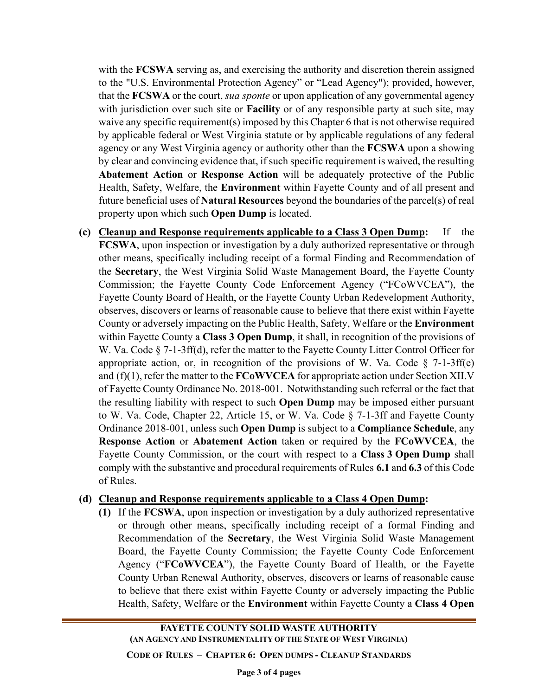with the **FCSWA** serving as, and exercising the authority and discretion therein assigned to the "U.S. Environmental Protection Agency" or "Lead Agency"); provided, however, that the **FCSWA** or the court, *sua sponte* or upon application of any governmental agency with jurisdiction over such site or **Facility** or of any responsible party at such site, may waive any specific requirement(s) imposed by this Chapter 6 that is not otherwise required by applicable federal or West Virginia statute or by applicable regulations of any federal agency or any West Virginia agency or authority other than the **FCSWA** upon a showing by clear and convincing evidence that, if such specific requirement is waived, the resulting **Abatement Action** or **Response Action** will be adequately protective of the Public Health, Safety, Welfare, the **Environment** within Fayette County and of all present and future beneficial uses of **Natural Resources** beyond the boundaries of the parcel(s) of real property upon which such **Open Dump** is located.

**(c) Cleanup and Response requirements applicable to a Class 3 Open Dump:** If the **FCSWA**, upon inspection or investigation by a duly authorized representative or through other means, specifically including receipt of a formal Finding and Recommendation of the **Secretary**, the West Virginia Solid Waste Management Board, the Fayette County Commission; the Fayette County Code Enforcement Agency ("FCoWVCEA"), the Fayette County Board of Health, or the Fayette County Urban Redevelopment Authority, observes, discovers or learns of reasonable cause to believe that there exist within Fayette County or adversely impacting on the Public Health, Safety, Welfare or the **Environment** within Fayette County a **Class 3 Open Dump**, it shall, in recognition of the provisions of W. Va. Code § 7-1-3ff(d), refer the matter to the Fayette County Litter Control Officer for appropriate action, or, in recognition of the provisions of W. Va. Code  $\S$  7-1-3ff(e) and (f)(1), refer the matter to the **FCoWVCEA** for appropriate action under Section XII.V of Fayette County Ordinance No. 2018-001. Notwithstanding such referral or the fact that the resulting liability with respect to such **Open Dump** may be imposed either pursuant to W. Va. Code, Chapter 22, Article 15, or W. Va. Code § 7-1-3ff and Fayette County Ordinance 2018-001, unless such **Open Dump** is subject to a **Compliance Schedule**, any **Response Action** or **Abatement Action** taken or required by the **FCoWVCEA**, the Fayette County Commission, or the court with respect to a **Class 3 Open Dump** shall comply with the substantive and procedural requirements of Rules **6.1** and **6.3** of this Code of Rules.

## **(d) Cleanup and Response requirements applicable to a Class 4 Open Dump:**

**(1)** If the **FCSWA**, upon inspection or investigation by a duly authorized representative or through other means, specifically including receipt of a formal Finding and Recommendation of the **Secretary**, the West Virginia Solid Waste Management Board, the Fayette County Commission; the Fayette County Code Enforcement Agency ("**FCoWVCEA**"), the Fayette County Board of Health, or the Fayette County Urban Renewal Authority, observes, discovers or learns of reasonable cause to believe that there exist within Fayette County or adversely impacting the Public Health, Safety, Welfare or the **Environment** within Fayette County a **Class 4 Open** 

**FAYETTE COUNTY SOLID WASTE AUTHORITY (AN AGENCY AND INSTRUMENTALITY OF THE STATE OF WEST VIRGINIA)**

**CODE OF RULES – CHAPTER 6: OPEN DUMPS - CLEANUP STANDARDS**